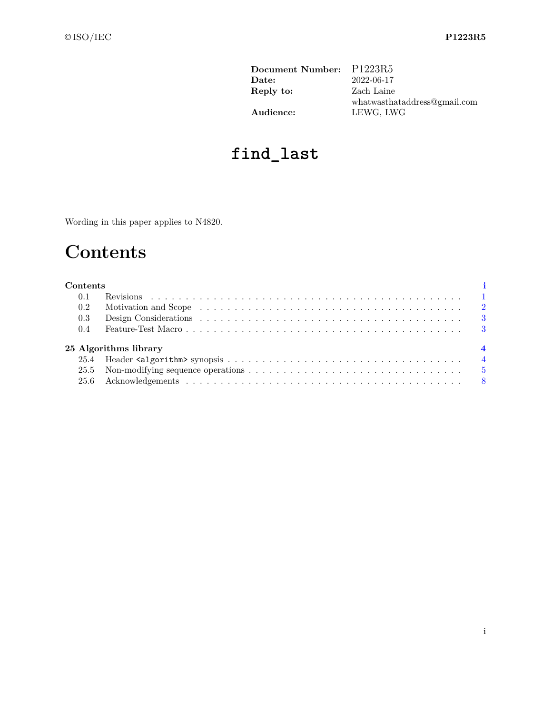| Document Number: P1223R5 |                              |
|--------------------------|------------------------------|
| Date:                    | 2022-06-17                   |
| Reply to:                | Zach Laine                   |
|                          | whatwasthataddress@gmail.com |
| Audience:                | LEWG, LWG                    |

# **find\_last**

<span id="page-0-0"></span>Wording in this paper applies to N4820.

# **Contents**

| Contents |                       |  |
|----------|-----------------------|--|
| 0.1      |                       |  |
| 0.2      |                       |  |
| $0.3\,$  |                       |  |
| $0.4\,$  |                       |  |
|          | 25 Algorithms library |  |
|          |                       |  |
|          |                       |  |
|          |                       |  |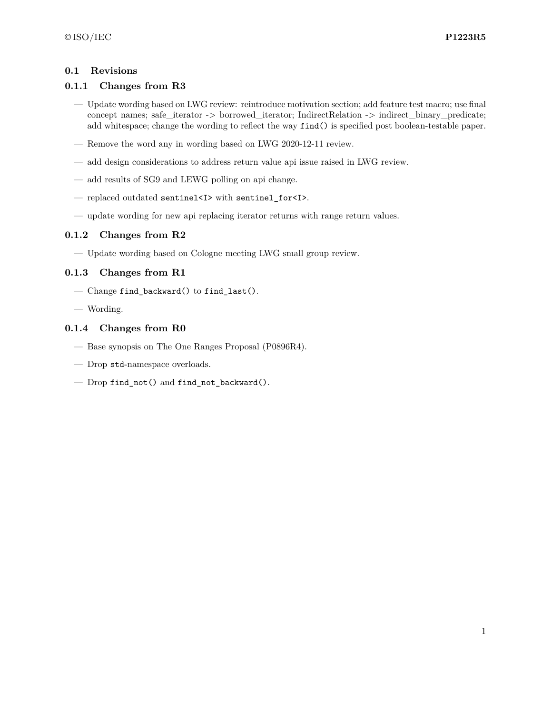#### <span id="page-1-0"></span>**0.1 Revisions**

#### **0.1.1 Changes from R3**

- Update wording based on LWG review: reintroduce motivation section; add feature test macro; use final concept names; safe\_iterator -> borrowed\_iterator; IndirectRelation -> indirect\_binary\_predicate; add whitespace; change the wording to reflect the way find() is specified post boolean-testable paper.
- Remove the word any in wording based on LWG 2020-12-11 review.
- add design considerations to address return value api issue raised in LWG review.
- add results of SG9 and LEWG polling on api change.
- replaced outdated sentinel<I> with sentinel\_for<I>.
- update wording for new api replacing iterator returns with range return values.

### **0.1.2 Changes from R2**

— Update wording based on Cologne meeting LWG small group review.

#### **0.1.3 Changes from R1**

- Change find\_backward() to find\_last().
- Wording.

#### **0.1.4 Changes from R0**

- Base synopsis on The One Ranges Proposal (P0896R4).
- Drop std-namespace overloads.
- Drop find not() and find not backward().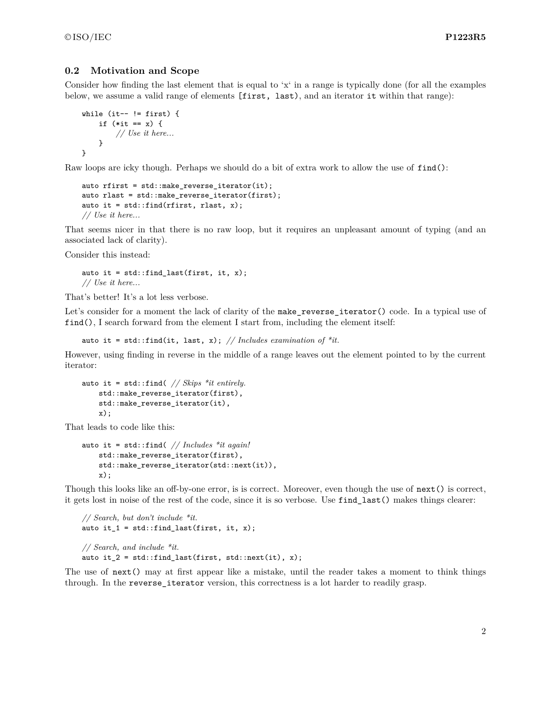#### <span id="page-2-0"></span>**0.2 Motivation and Scope**

Consider how finding the last element that is equal to 'x' in a range is typically done (for all the examples below, we assume a valid range of elements [first, last), and an iterator it within that range):

```
while (it-- != first) {
    if (*it == x) {
        // Use it here...
    }
}
```
Raw loops are icky though. Perhaps we should do a bit of extra work to allow the use of find():

```
auto rfirst = std::make_reverse_iterator(it);
auto rlast = std::make_reverse_iterator(first);
auto it = std::find(rfirst, rlast, x);// Use it here...
```
That seems nicer in that there is no raw loop, but it requires an unpleasant amount of typing (and an associated lack of clarity).

Consider this instead:

auto it =  $std::find\_last(first, it, x);$ *// Use it here...*

That's better! It's a lot less verbose.

Let's consider for a moment the lack of clarity of the make\_reverse\_iterator() code. In a typical use of find(), I search forward from the element I start from, including the element itself:

auto it = std::find(it, last, x); // Includes examination of  $*it$ .

However, using finding in reverse in the middle of a range leaves out the element pointed to by the current iterator:

```
auto it = std::find( // Skips *it entirely.
    std::make reverse iterator(first),
    std::make_reverse_iterator(it),
    x);
```
That leads to code like this:

```
auto it = std::find( // Includes *it again!
    std::make_reverse_iterator(first),
    std::make_reverse_iterator(std::next(it)),
    x);
```
Though this looks like an off-by-one error, is is correct. Moreover, even though the use of next() is correct, it gets lost in noise of the rest of the code, since it is so verbose. Use find\_last() makes things clearer:

```
// Search, but don't include *it.
auto it_1 = std::find\_last(first, it, x);// Search, and include *it.
auto it 2 = std::find last(first, std::next(it), x);
```
The use of next() may at first appear like a mistake, until the reader takes a moment to think things through. In the reverse iterator version, this correctness is a lot harder to readily grasp.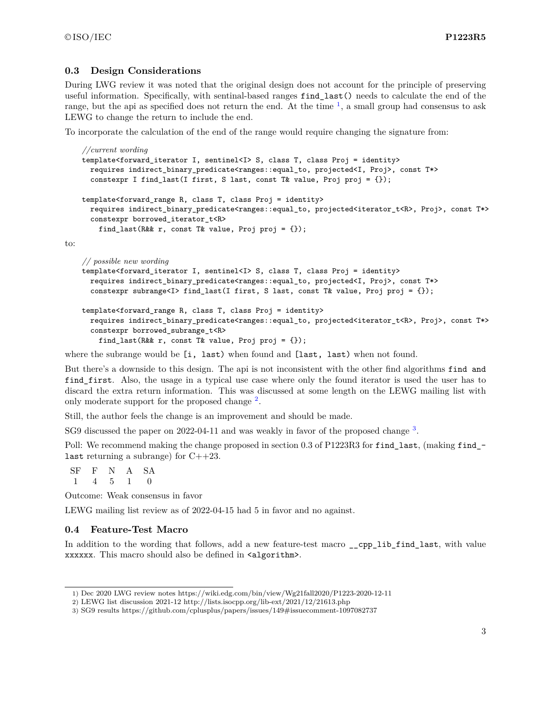to:

#### <span id="page-3-0"></span>**0.3 Design Considerations**

During LWG review it was noted that the original design does not account for the principle of preserving useful information. Specifically, with sentinal-based ranges find\_last() needs to calculate the end of the range, but the api as specified does not return the end. At the time  $\frac{1}{2}$  $\frac{1}{2}$  $\frac{1}{2}$ , a small group had consensus to ask LEWG to change the return to include the end.

To incorporate the calculation of the end of the range would require changing the signature from:

```
//current wording
template<forward_iterator I, sentinel<I> S, class T, class Proj = identity>
 requires indirect_binary_predicate<ranges::equal_to, projected<I, Proj>, const T*>
  constexpr I find_last(I first, S last, const T& value, Proj proj = \{\});
template<forward_range R, class T, class Proj = identity>
 requires indirect_binary_predicate<ranges::equal_to, projected<iterator_t<R>, Proj>, const T*>
 constexpr borrowed_iterator_t<R>
    find_last(R&& r, const T& value, Proj proj = {});
// possible new wording
template<forward_iterator I, sentinel<I> S, class T, class Proj = identity>
 requires indirect_binary_predicate<ranges::equal_to, projected<I, Proj>, const T*>
  constexpr subrange<I> find_last(I first, S last, const T& value, Proj proj = {});
```

```
template<forward_range R, class T, class Proj = identity>
 requires indirect_binary_predicate<ranges::equal_to, projected<iterator_t<R>, Proj>, const T*>
  constexpr borrowed_subrange_t<R>
    find_last(R&& r, const T& value, Proj proj = \{\});
```
where the subrange would be [i, last) when found and [last, last) when not found.

But there's a downside to this design. The api is not inconsistent with the other find algorithms find and find\_first. Also, the usage in a typical use case where only the found iterator is used the user has to discard the extra return information. This was discussed at some length on the LEWG mailing list with only moderate support for the proposed change <sup>[2](#page-3-3)</sup>.

Still, the author feels the change is an improvement and should be made.

SG9 discussed the paper on 2022-04-11 and was weakly in favor of the proposed change <sup>[3](#page-3-4)</sup>.

Poll: We recommend making the change proposed in section 0.3 of P1223R3 for find\_last, (making find\_last returning a subrange) for  $C++23$ .

SF F N A SA 1 4 5 1 0

Outcome: Weak consensus in favor

LEWG mailing list review as of 2022-04-15 had 5 in favor and no against.

#### <span id="page-3-1"></span>**0.4 Feature-Test Macro**

In addition to the wording that follows, add a new feature-test macro \_\_cpp\_lib\_find\_last, with value xxxxxx. This macro should also be defined in  $\alpha$ lgorithm>.

<span id="page-3-2"></span><sup>1)</sup> Dec 2020 LWG review notes https://wiki.edg.com/bin/view/Wg21fall2020/P1223-2020-12-11

<span id="page-3-3"></span><sup>2)</sup> LEWG list discussion 2021-12 http://lists.isocpp.org/lib-ext/2021/12/21613.php

<span id="page-3-4"></span><sup>3)</sup> SG9 results https://github.com/cplusplus/papers/issues/149#issuecomment-1097082737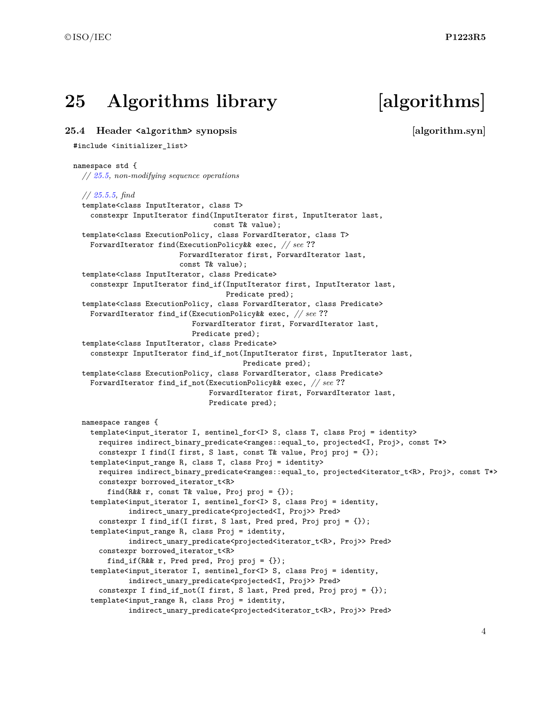## <span id="page-4-0"></span>**25 Algorithms library [algorithms]**

#### <span id="page-4-1"></span>**25.4 Header <algorithm> synopsis [algorithm.syn]**

#### #include <initializer\_list>

#### namespace std { *// [25.5,](#page-5-0) non-modifying sequence operations // [25.5.5,](#page-5-1) find* template<class InputIterator, class T> constexpr InputIterator find(InputIterator first, InputIterator last, const T& value); template<class ExecutionPolicy, class ForwardIterator, class T> ForwardIterator find(ExecutionPolicy&& exec, *// see* **??** ForwardIterator first, ForwardIterator last, const T& value); template<class InputIterator, class Predicate> constexpr InputIterator find\_if(InputIterator first, InputIterator last, Predicate pred); template<class ExecutionPolicy, class ForwardIterator, class Predicate> ForwardIterator find\_if(ExecutionPolicy&& exec, *// see* **??** ForwardIterator first, ForwardIterator last, Predicate pred); template<class InputIterator, class Predicate> constexpr InputIterator find\_if\_not(InputIterator first, InputIterator last, Predicate pred); template<class ExecutionPolicy, class ForwardIterator, class Predicate> ForwardIterator find\_if\_not(ExecutionPolicy&& exec, *// see* **??** ForwardIterator first, ForwardIterator last, Predicate pred); namespace ranges { template<input\_iterator I, sentinel\_for<I> S, class T, class Proj = identity> requires indirect\_binary\_predicate<ranges::equal\_to, projected<I, Proj>, const T\*> constexpr I find(I first, S last, const T& value, Proj proj = {}); template<input\_range R, class T, class Proj = identity> requires indirect\_binary\_predicate<ranges::equal\_to, projected<iterator\_t<R>, Proj>, const T\*> constexpr borrowed\_iterator\_t<R> find(R&& r, const T& value, Proj proj =  $\{\})$ ; template<input\_iterator I, sentinel\_for<I> S, class Proj = identity, indirect\_unary\_predicate<projected<I, Proj>> Pred> constexpr I find\_if(I first, S last, Pred pred, Proj proj = {}); template<input\_range R, class Proj = identity, indirect\_unary\_predicate<projected<iterator\_t<R>, Proj>> Pred> constexpr borrowed\_iterator\_t<R> find\_if(R&& r, Pred pred, Proj proj = {}); template<input\_iterator I, sentinel\_for<I> S, class Proj = identity, indirect\_unary\_predicate<projected<I, Proj>> Pred> constexpr I find\_if\_not(I first, S last, Pred pred, Proj proj = {}); template<input\_range R, class Proj = identity, indirect\_unary\_predicate<projected<iterator\_t<R>, Proj>> Pred>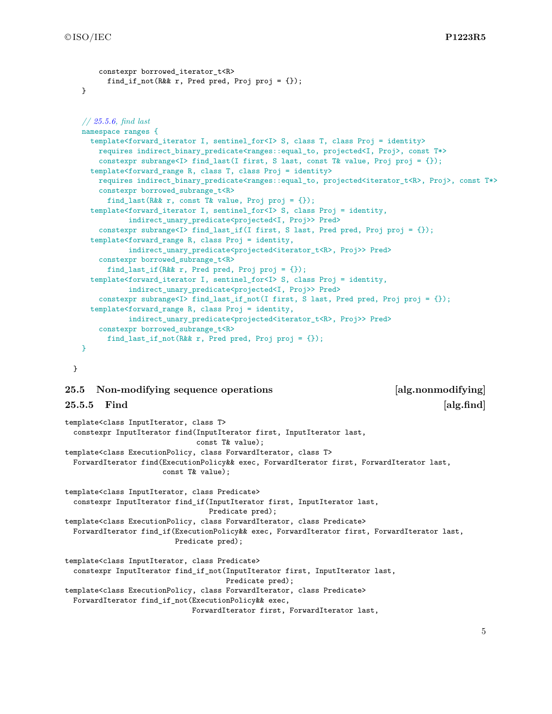```
constexpr borrowed iterator t<R>
      find_if_not(R&& r, Pred pred, Proj proj = {});
}
// 25.5.6, find last
namespace ranges {
  template<forward_iterator I, sentinel_for<I> S, class T, class Proj = identity>
    requires indirect_binary_predicate<ranges::equal_to, projected<I, Proj>, const T*>
    constexpr subrange<I> find_last(I first, S last, const T& value, Proj proj = {});
  template<forward_range R, class T, class Proj = identity>
    requires indirect_binary_predicate<ranges::equal_to, projected<iterator_t<R>, Proj>, const T*>
    constexpr borrowed subrange t < Rfind_last(R&& r, const T& value, Proj proj = {});
  template<forward_iterator I, sentinel_for<I> S, class Proj = identity,
           indirect_unary_predicate<projected<I, Proj>> Pred>
    constexpr subrange<I> find_last_if(I first, S last, Pred pred, Proj proj = {});
  template<forward_range R, class Proj = identity,
           indirect_unary_predicate<projected<iterator_t<R>, Proj>> Pred>
    constexpr borrowed subrange t<R>
      find_last_if(R&& r, Pred pred, Proj proj = {});
  template<forward_iterator I, sentinel_for<I> S, class Proj = identity,
           indirect_unary_predicate<projected<I, Proj>> Pred>
    constexpr subrange<I> find_last_if_not(I first, S last, Pred pred, Proj proj = {});
  template<forward_range R, class Proj = identity,
           indirect unary predicate<projected<iterator t<R>, Proj>> Pred>
    constexpr borrowed_subrange_t<R>
      find_last_if_not(R&& r, Pred pred, Proj proj = {});
}
```

```
}
```
#### <span id="page-5-0"></span>**25.5 Non-modifying sequence operations [alg.nonmodifying]**

<span id="page-5-1"></span>**25.5.5 Find**  [alg.find]

```
template<class InputIterator, class T>
 constexpr InputIterator find(InputIterator first, InputIterator last,
                               const T& value);
template<class ExecutionPolicy, class ForwardIterator, class T>
 ForwardIterator find(ExecutionPolicy&& exec, ForwardIterator first, ForwardIterator last,
                       const T& value);
template<class InputIterator, class Predicate>
  constexpr InputIterator find_if(InputIterator first, InputIterator last,
                                  Predicate pred);
template<class ExecutionPolicy, class ForwardIterator, class Predicate>
 ForwardIterator find_if(ExecutionPolicy&& exec, ForwardIterator first, ForwardIterator last,
                          Predicate pred);
template<class InputIterator, class Predicate>
  constexpr InputIterator find_if_not(InputIterator first, InputIterator last,
                                      Predicate pred);
template<class ExecutionPolicy, class ForwardIterator, class Predicate>
 ForwardIterator find_if_not(ExecutionPolicy&& exec,
                              ForwardIterator first, ForwardIterator last,
```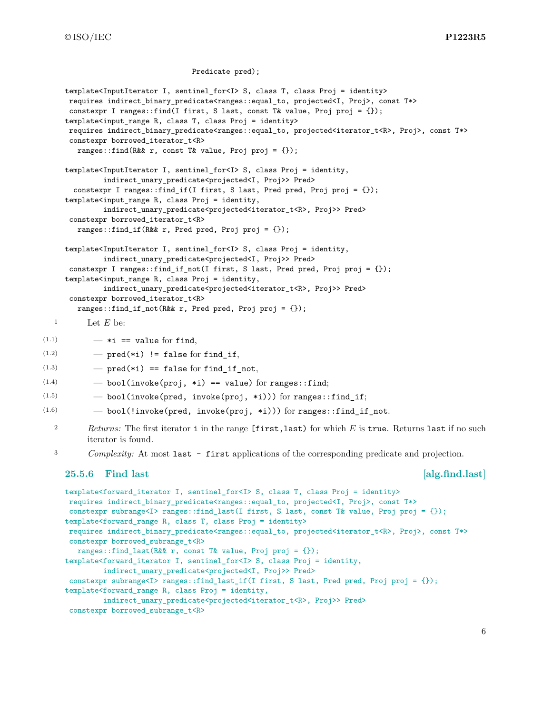©ISO/IEC **P1223R5**

```
Predicate pred);
     template<InputIterator I, sentinel_for<I> S, class T, class Proj = identity>
     requires indirect_binary_predicate<ranges::equal_to, projected<I, Proj>, const T*>
     constexpr I ranges::find(I first, S last, const T& value, Proj proj = {});
     template<input_range R, class T, class Proj = identity>
     requires indirect_binary_predicate<ranges::equal_to, projected<iterator_t<R>, Proj>, const T*>
     constexpr borrowed iterator t<R>
       ranges::find(R&& r, const T& value, Proj proj = {});
     template<InputIterator I, sentinel_for<I> S, class Proj = identity,
             indirect_unary_predicate<projected<I, Proj>> Pred>
       constexpr I ranges::find_if(I first, S last, Pred pred, Proj proj = {});
     template<input_range R, class Proj = identity,
             indirect_unary_predicate<projected<iterator_t<R>, Proj>> Pred>
     constexpr borrowed_iterator_t<R>
       ranges::find_if(R&& r, Pred pred, Proj proj = {});
     template<InputIterator I, sentinel_for<I> S, class Proj = identity,
             indirect_unary_predicate<projected<I, Proj>> Pred>
     constexpr I ranges::find_if_not(I first, S last, Pred pred, Proj proj = \{\});
     template<input_range R, class Proj = identity,
             indirect_unary_predicate<projected<iterator_t<R>, Proj>> Pred>
     constexpr borrowed_iterator_t<R>
       ranges::find_if_not(R&& r, Pred pred, Proj proj = {});
  1 Let E be:
(1.1) - *i == value for find,(1.2) - pred(*i) != false for find_if,
(1.3) - pred(*i) == false for find_if_not,
(1.4) - bool(invoke(proj, *i) == value) for ranges::find;
(1.5) - bool(invoke(pred, invoke(proj, *i))) for ranges::find_if;
(1.6) - bool(!invoke(pred, invoke(proj, *i))) for ranges::find_if_not.
  2 Returns: The first iterator i in the range [first,last) for which E is true. Returns last if no such
          iterator is found.
  3 Complexity: At most last - first applications of the corresponding predicate and projection.
     25.5.6 Find last [alg.find.last]
     template<forward_iterator I, sentinel_for<I> S, class T, class Proj = identity>
     requires indirect_binary_predicate<ranges::equal_to, projected<I, Proj>, const T*>
     constexpr subrange<I> ranges::find_last(I first, S last, const T& value, Proj proj = {});
     template<forward_range R, class T, class Proj = identity>
     requires indirect_binary_predicate<ranges::equal_to, projected<iterator_t<R>, Proj>, const T*>
     constexpr borrowed_subrange_t<R>
       ranges::find_last(R&& r, const T& value, Proj proj = {});
     template<forward_iterator I, sentinel_for<I> S, class Proj = identity,
             indirect_unary_predicate<projected<I, Proj>> Pred>
     constexpr subrange<I> ranges::find_last_if(I first, S last, Pred pred, Proj proj = {});
     template<forward_range R, class Proj = identity,
```

```
indirect_unary_predicate<projected<iterator_t<R>, Proj>> Pred>
```

```
constexpr borrowed_subrange_t<R>
```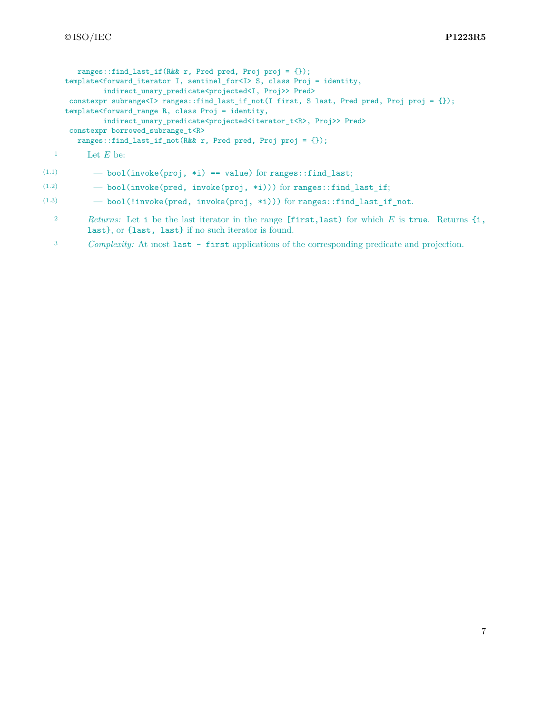```
ranges::find last if(R&& r, Pred pred, Proj proj = {});
template<forward_iterator I, sentinel_for<I> S, class Proj = identity,
        indirect_unary_predicate<projected<I, Proj>> Pred>
constexpr subrange<I> ranges::find_last_if_not(I first, S last, Pred pred, Proj proj = {});
template<forward_range R, class Proj = identity,
        indirect_unary_predicate<projected<iterator_t<R>, Proj>> Pred>
constexpr borrowed_subrange_t<R>
  ranges::find_last_if_not(R&& r, Pred pred, Proj proj = {});
```

```
1 Let E be:
```

```
(1.1) - bool(invoke(proj, *i) == value) for ranges::find_last;
```
- $(1.2)$   $-$  bool(invoke(pred, invoke(proj, \*i))) for ranges::find\_last\_if;
- $(1.3)$   $-$  bool(!invoke(pred, invoke(proj, \*i))) for ranges::find last if not.
	- <sup>2</sup> *Returns:* Let i be the last iterator in the range [first,last) for which *E* is true. Returns {i, last}, or {last, last} if no such iterator is found.
	- <sup>3</sup> *Complexity:* At most last first applications of the corresponding predicate and projection.